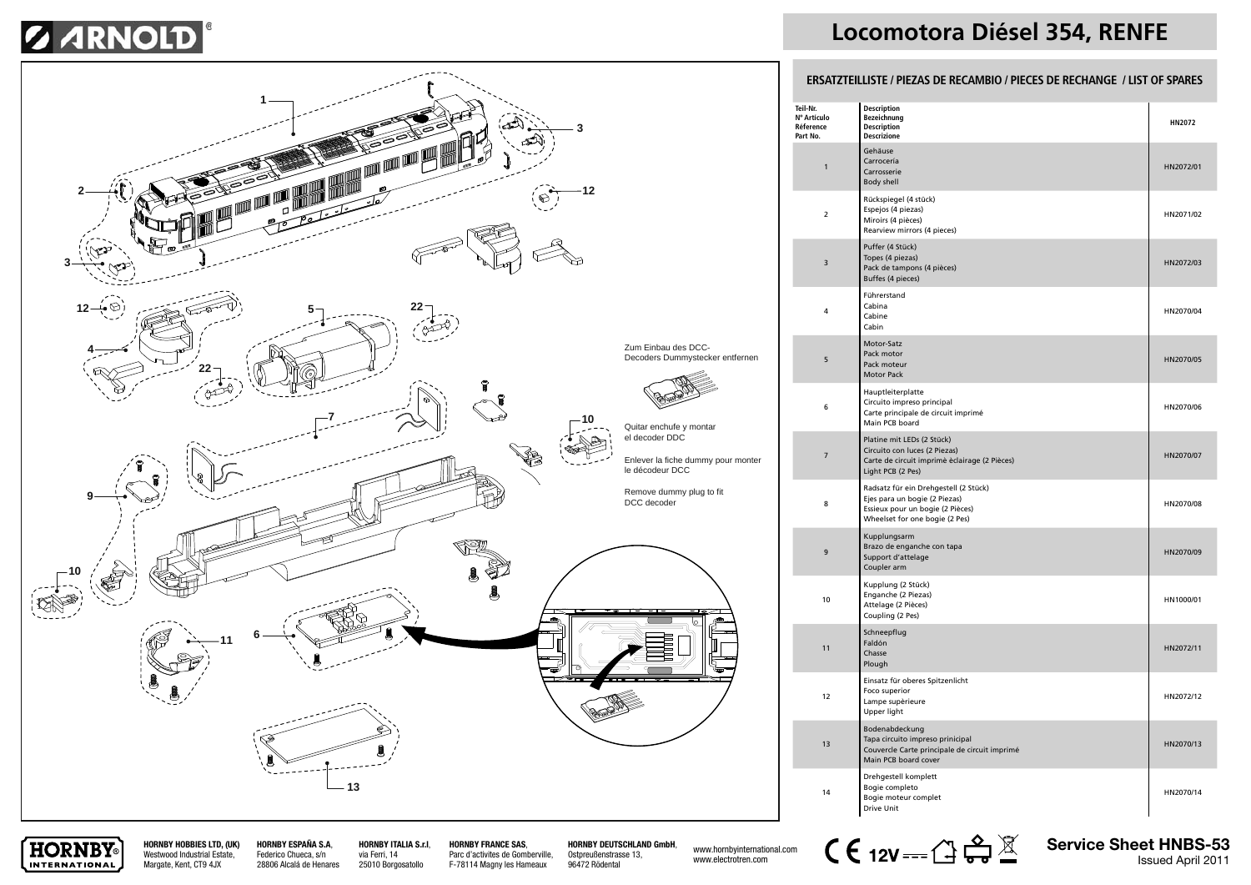## **SARNOLD**



## **Locomotora Diésel 354, RENFE**

#### **ERSATZTEILLISTE / PIEZAS DE RECAMBIO / PIECES DE RECHANGE / LIST OF SPARES**

| Teil-Nr.<br>Nº Artículo<br>Réference<br>Part No. | <b>Description</b><br>Bezeichnung<br><b>Description</b><br><b>Descrizione</b>                                                                | HN2072    |
|--------------------------------------------------|----------------------------------------------------------------------------------------------------------------------------------------------|-----------|
| $\mathbf{1}$                                     | Gehäuse<br>Carrocería<br>Carrosserie<br>Body shell                                                                                           | HN2072/01 |
| $\overline{2}$                                   | Rückspiegel (4 stück)<br>Espejos (4 piezas)<br>Miroirs (4 pièces)<br>Rearview mirrors (4 pieces)                                             | HN2071/02 |
| $\overline{\mathbf{3}}$                          | Puffer (4 Stück)<br>Topes (4 piezas)<br>Pack de tampons (4 pièces)<br>Buffes (4 pieces)                                                      | HN2072/03 |
| 4                                                | Führerstand<br>Cabina<br>Cabine<br>Cabin                                                                                                     | HN2070/04 |
| 5                                                | Motor-Satz<br>Pack motor<br>Pack moteur<br><b>Motor Pack</b>                                                                                 | HN2070/05 |
| 6                                                | Hauptleiterplatte<br>Circuito impreso principal<br>Carte principale de circuit imprimé<br>Main PCB board                                     | HN2070/06 |
| $\overline{7}$                                   | Platine mit LEDs (2 Stück)<br>Circuito con luces (2 Piezas)<br>Carte de circuit imprimè èclairage (2 Pièces)<br>Light PCB (2 Pes)            | HN2070/07 |
| 8                                                | Radsatz für ein Drehgestell (2 Stück)<br>Ejes para un bogie (2 Piezas)<br>Essieux pour un bogie (2 Pièces)<br>Wheelset for one bogie (2 Pes) | HN2070/08 |
| 9                                                | Kupplungsarm<br>Brazo de enganche con tapa<br>Support d'attelage<br>Coupler arm                                                              | HN2070/09 |
| 10                                               | Kupplung (2 Stück)<br>Enganche (2 Piezas)<br>Attelage (2 Pièces)<br>Coupling (2 Pes)                                                         | HN1000/01 |
| 11                                               | Schneepflug<br>Faldón<br>Chasse<br>Plough                                                                                                    | HN2072/11 |
| 12                                               | Einsatz für oberes Spitzenlicht<br>Foco superior<br>Lampe supèrieure<br>Upper light                                                          | HN2072/12 |
| 13                                               | Bodenabdeckung<br>Tapa circuito impreso prinicipal<br>Couvercle Carte principale de circuit imprimé<br>Main PCB board cover                  | HN2070/13 |
| 14                                               | Drehgestell komplett<br>Bogie completo<br>Bogie moteur complet<br>Drive Unit                                                                 | HN2070/14 |



**HORNBY HOBBIES LTD, (UK)** Westwood Industrial Estate, Margate, Kent, CT9 4JX **HORNBY ESPAÑA S.A**, Federico Chueca, s/n 28806 Alcalá de Henares

**HORNBY ITALIA S.r.l**, via Ferri, 14 25010 Borgosatollo

**HORNBY FRANCE SAS**, Parc d'activites de Gomberville, F-78114 Magny les Hameaux

**HORNBY DEUTSCHLAND GmbH**, Ostpreußenstrasse 13, 96472 Rödental

www.hornbyinternational.com www.electrotren.com



**Service Sheet HNBS-53** Issued April 2011